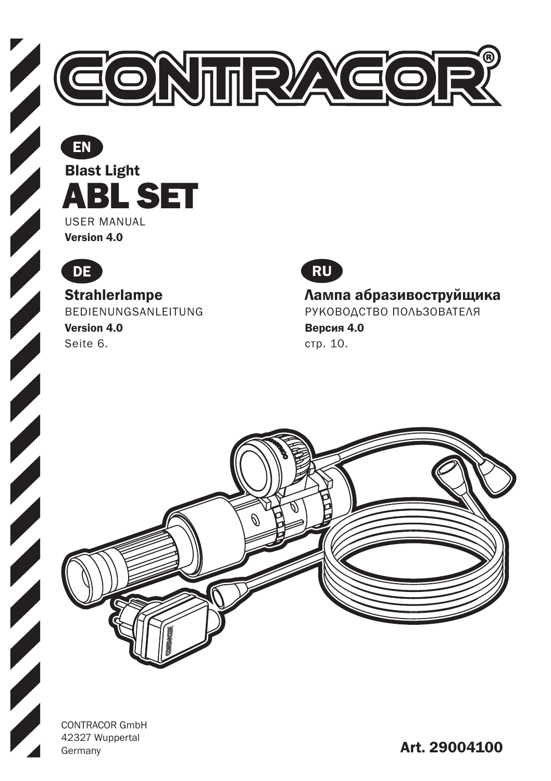

Blast Light USER MANUAL EN ABL SET

Version 4.0



#### Strahlerlampe

BEDIENUNGSANLEITUNG Version 4.0 Seite 6.



Лампа абразивоструйщика РУКОВОДСТВО ПОЛЬЗОВАТЕЛЯ Версия 4.0 стр. 10.



CONTRACOR GmbH 42327 Wuppertal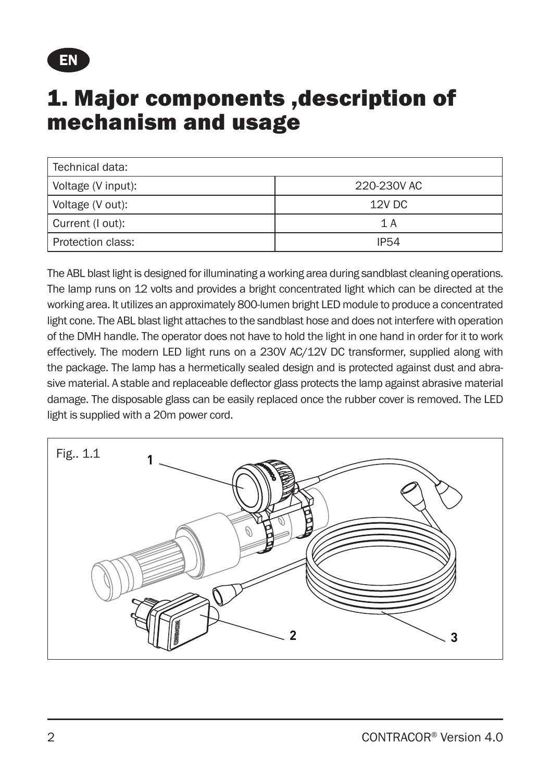

#### 1. Major components ,description of mechanism and usage

| Technical data:    |             |
|--------------------|-------------|
| Voltage (V input): | 220-230V AC |
| Voltage (V out):   | 12V DC      |
| Current (I out):   | 1 A         |
| Protection class:  | <b>IP54</b> |

The ABL blast light is designed for illuminating a working area during sandblast cleaning operations. The lamp runs on 12 volts and provides a bright concentrated light which can be directed at the working area. It utilizes an approximately 800-lumen bright LED module to produce a concentrated light cone. The ABL blast light attaches to the sandblast hose and does not interfere with operation of the DMH handle. The operator does not have to hold the light in one hand in order for it to work effectively. The modern LED light runs on a 230V AC/12V DC transformer, supplied along with the package. The lamp has a hermetically sealed design and is protected against dust and abrasive material. A stable and replaceable deflector glass protects the lamp against abrasive material damage. The disposable glass can be easily replaced once the rubber cover is removed. The LED light is supplied with a 20m power cord.

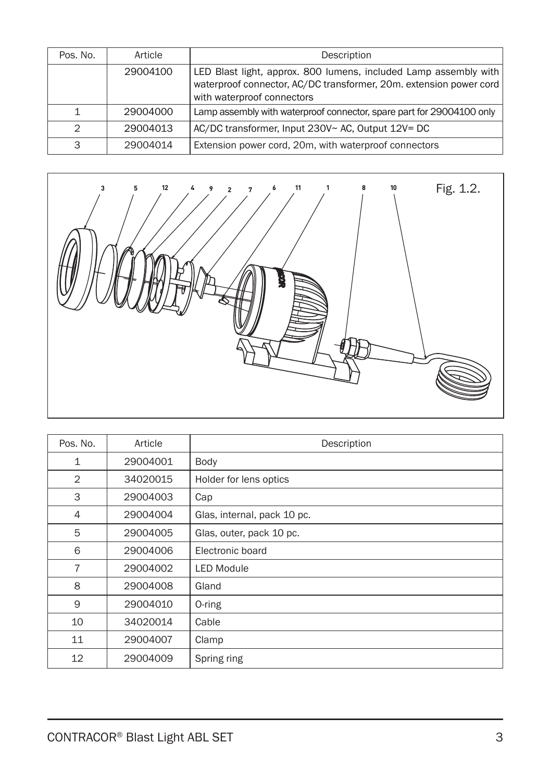| Pos. No.      | Article  | Description                                                                                                                                                          |
|---------------|----------|----------------------------------------------------------------------------------------------------------------------------------------------------------------------|
|               | 29004100 | LED Blast light, approx. 800 lumens, included Lamp assembly with<br>waterproof connector, AC/DC transformer, 20m. extension power cord<br>with waterproof connectors |
|               | 29004000 | Lamp assembly with waterproof connector, spare part for 29004100 only                                                                                                |
| $\mathcal{D}$ | 29004013 | AC/DC transformer, Input 230V~ AC, Output 12V= DC                                                                                                                    |
| 3             | 29004014 | Extension power cord, 20m, with waterproof connectors                                                                                                                |



| Pos. No.       | Article  | Description                 |
|----------------|----------|-----------------------------|
| $\mathbf{1}$   | 29004001 | Body                        |
| $\overline{2}$ | 34020015 | Holder for lens optics      |
| 3              | 29004003 | Cap                         |
| $\overline{4}$ | 29004004 | Glas, internal, pack 10 pc. |
| 5              | 29004005 | Glas, outer, pack 10 pc.    |
| 6              | 29004006 | Electronic board            |
| $\overline{7}$ | 29004002 | <b>LED Module</b>           |
| 8              | 29004008 | Gland                       |
| 9              | 29004010 | 0-ring                      |
| 10             | 34020014 | Cable                       |
| 11             | 29004007 | Clamp                       |
| 12             | 29004009 | Spring ring                 |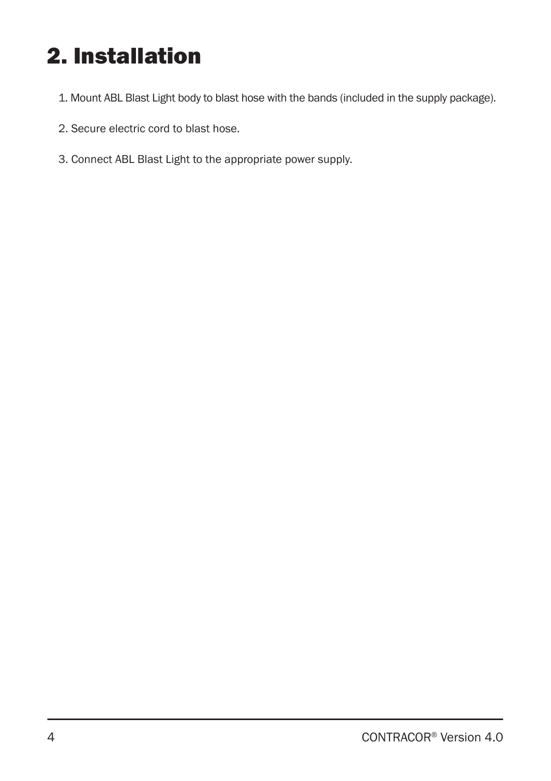# 2. Installation

- 1. Mount ABL Blast Light body to blast hose with the bands (included in the supply package).
- 2. Secure electric cord to blast hose.
- 3. Connect ABL Blast Light to the appropriate power supply.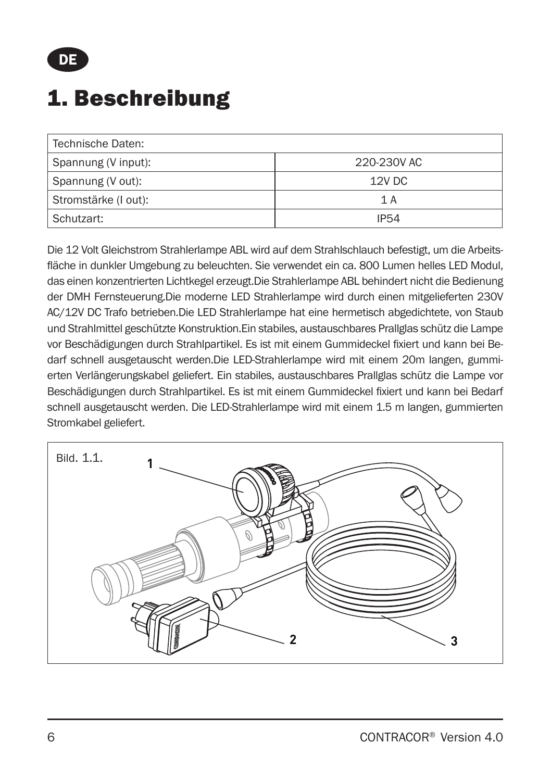

## 1. Beschreibung

| Technische Daten:    |             |
|----------------------|-------------|
| Spannung (V input):  | 220-230V AC |
| Spannung (V out):    | 12V DC      |
| Stromstärke (I out): | 1 A         |
| Schutzart:           | <b>IP54</b> |

Die 12 Volt Gleichstrom Strahlerlampe ABL wird auf dem Strahlschlauch befestigt, um die Arbeitsfläche in dunkler Umgebung zu beleuchten. Sie verwendet ein ca. 800 Lumen helles LED Modul, das einen konzentrierten Lichtkegel erzeugt.Die Strahlerlampe ABL behindert nicht die Bedienung der DMH Fernsteuerung.Die moderne LED Strahlerlampe wird durch einen mitgelieferten 230V AC/12V DC Trafo betrieben.Die LED Strahlerlampe hat eine hermetisch abgedichtete, von Staub und Strahlmittel geschützte Konstruktion.Ein stabiles, austauschbares Prallglas schütz die Lampe vor Beschädigungen durch Strahlpartikel. Es ist mit einem Gummideckel fixiert und kann bei Bedarf schnell ausgetauscht werden.Die LED-Strahlerlampe wird mit einem 20m langen, gummierten Verlängerungskabel geliefert. Ein stabiles, austauschbares Prallglas schütz die Lampe vor Beschädigungen durch Strahlpartikel. Es ist mit einem Gummideckel fixiert und kann bei Bedarf schnell ausgetauscht werden. Die LED-Strahlerlampe wird mit einem 1.5 m langen, gummierten Stromkabel geliefert.

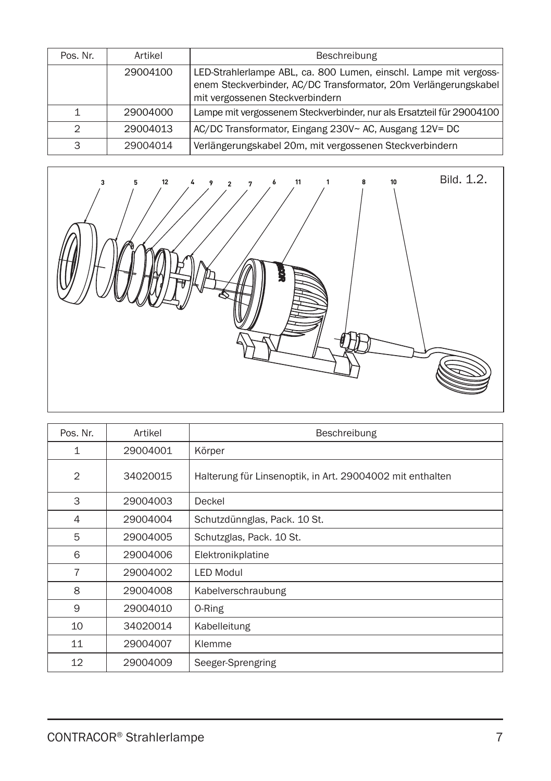| Pos. Nr. | Artikel  | Beschreibung                                                                                                                                                             |
|----------|----------|--------------------------------------------------------------------------------------------------------------------------------------------------------------------------|
|          | 29004100 | LED-Strahlerlampe ABL, ca. 800 Lumen, einschl. Lampe mit vergoss-<br>enem Steckverbinder, AC/DC Transformator, 20m Verlängerungskabel<br>mit vergossenen Steckverbindern |
|          | 29004000 | Lampe mit vergossenem Steckverbinder, nur als Ersatzteil für 29004100                                                                                                    |
| っ        | 29004013 | AC/DC Transformator, Eingang 230V~ AC, Ausgang 12V= DC                                                                                                                   |
| 3        | 29004014 | Verlängerungskabel 20m, mit vergossenen Steckverbindern                                                                                                                  |



| Pos. Nr.       | Artikel  | Beschreibung                                              |
|----------------|----------|-----------------------------------------------------------|
| $\mathbf{1}$   | 29004001 | Körper                                                    |
| $\overline{2}$ | 34020015 | Halterung für Linsenoptik, in Art. 29004002 mit enthalten |
| 3              | 29004003 | Deckel                                                    |
| 4              | 29004004 | Schutzdünnglas, Pack. 10 St.                              |
| 5              | 29004005 | Schutzglas, Pack. 10 St.                                  |
| 6              | 29004006 | Elektronikplatine                                         |
| $\overline{7}$ | 29004002 | <b>LED Modul</b>                                          |
| 8              | 29004008 | Kabelverschraubung                                        |
| 9              | 29004010 | 0-Ring                                                    |
| 10             | 34020014 | Kabelleitung                                              |
| 11             | 29004007 | Klemme                                                    |
| 12             | 29004009 | Seeger-Sprengring                                         |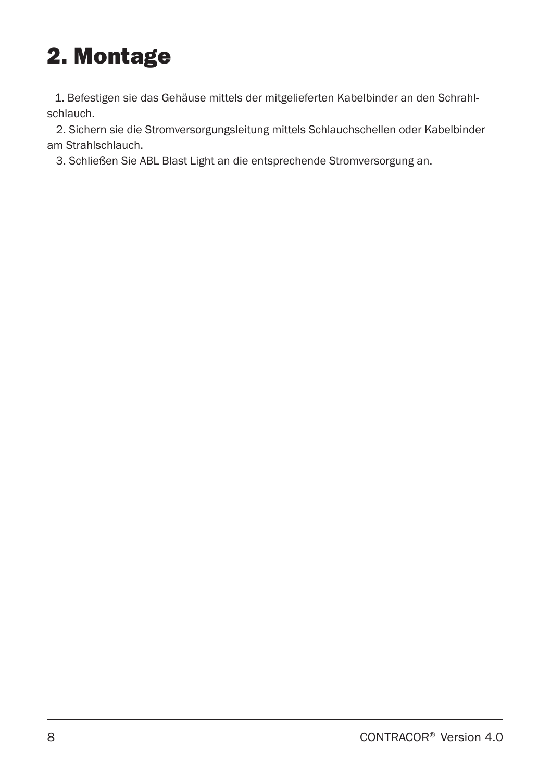# 2. Montage

1. Befestigen sie das Gehäuse mittels der mitgelieferten Kabelbinder an den Schrahlschlauch.

 2. Sichern sie die Stromversorgungsleitung mittels Schlauchschellen oder Kabelbinder am Strahlschlauch.

3. Schließen Sie ABL Blast Light an die entsprechende Stromversorgung an.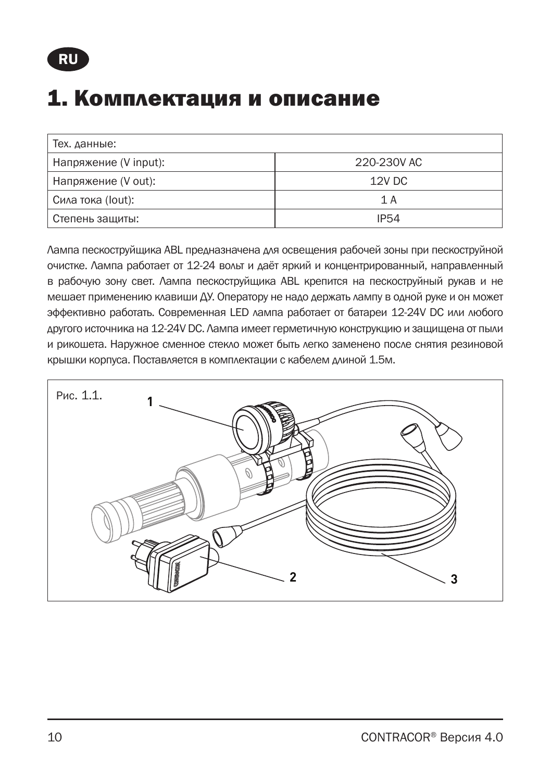#### 1. Комплектация и описание

| Тех. данные:          |             |
|-----------------------|-------------|
| Напряжение (V input): | 220-230V AC |
| Напряжение (V out):   | 12V DC      |
| Сила тока (lout):     | 1 A         |
| Степень защиты:       | IP54        |

Лампа пескоструйщика АBL предназначена для освещения рабочей зоны при пескоструйной очистке. Лампа работает от 12-24 вольт и даёт яркий и концентрированный, направленный в рабочую зону свет. Лампа пескоструйщика АBL крепится на пескоструйный рукав и не мешает применению клавиши ДУ. Оператору не надо держать лампу в одной руке и он может эффективно работать. Современная LED лампа работает от батареи 12-24V DC или любого другого источника на 12-24V DC. Лампа имеет герметичную конструкцию и защищена от пыли и рикошета. Наружное сменное стекло может быть легко заменено после снятия резиновой крышки корпуса. Поставляется в комплектации с кабелем длиной 1.5м.

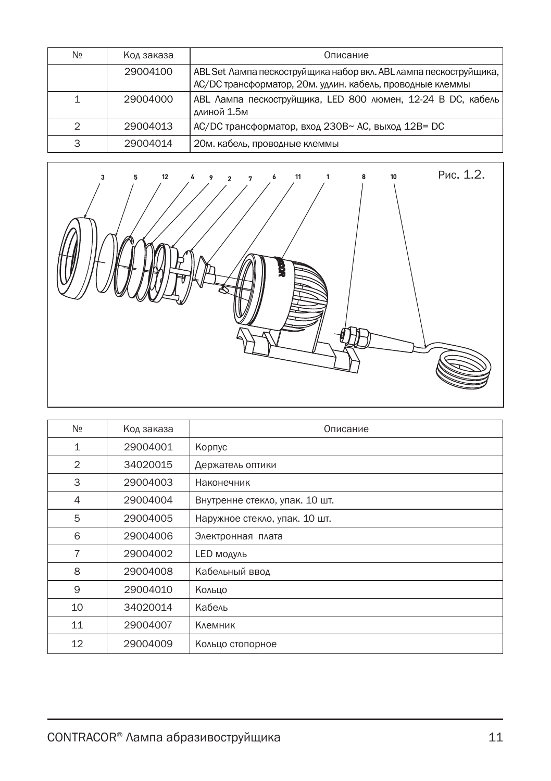| Nº | Код заказа | Описание                                                                                                                       |
|----|------------|--------------------------------------------------------------------------------------------------------------------------------|
|    | 29004100   | ABL Set Лампа пескоструйщика набор вкл. ABL лампа пескоструйщика,<br>АС/DС трансформатор, 20м. удлин. кабель, проводные клеммы |
| 1  | 29004000   | ABL Лампа пескоструйщика, LED 800 люмен, 12-24 В DC, кабель<br>длиной 1.5м                                                     |
| 2  | 29004013   | АС/DC трансформатор, вход 230B~ АС, выход 12B= DC                                                                              |
| 3  | 29004014   | 20м. кабель, проводные клеммы                                                                                                  |



| N <sub>2</sub> | Код заказа | Описание                       |
|----------------|------------|--------------------------------|
| $\mathbf{1}$   | 29004001   | Корпус                         |
| $\mathbf{2}$   | 34020015   | Держатель оптики               |
| 3              | 29004003   | Наконечник                     |
| 4              | 29004004   | Внутренне стекло, упак. 10 шт. |
| 5              | 29004005   | Наружное стекло, упак. 10 шт.  |
| 6              | 29004006   | Электронная плата              |
| 7              | 29004002   | LED модуль                     |
| 8              | 29004008   | Кабельный ввод                 |
| 9              | 29004010   | Кольцо                         |
| 10             | 34020014   | Кабель                         |
| 11             | 29004007   | Клемник                        |
| 12             | 29004009   | Кольцо стопорное               |